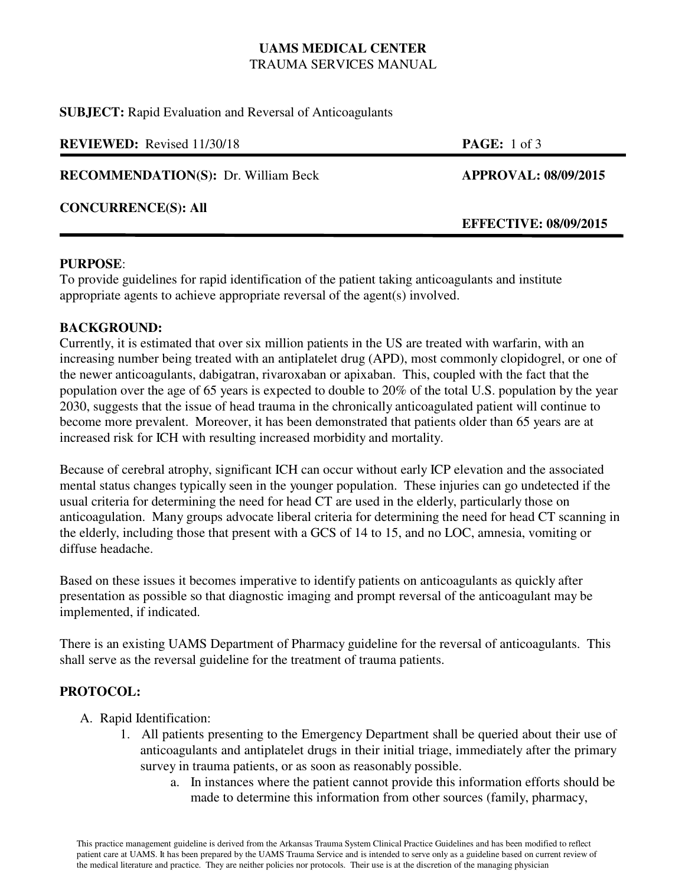## **UAMS MEDICAL CENTER** TRAUMA SERVICES MANUAL

**SUBJECT:** Rapid Evaluation and Reversal of Anticoagulants

| <b>PAGE:</b> 1 of 3          |
|------------------------------|
| <b>APPROVAL: 08/09/2015</b>  |
| <b>EFFECTIVE: 08/09/2015</b> |
|                              |

#### **PURPOSE**:

To provide guidelines for rapid identification of the patient taking anticoagulants and institute appropriate agents to achieve appropriate reversal of the agent(s) involved.

#### **BACKGROUND:**

Currently, it is estimated that over six million patients in the US are treated with warfarin, with an increasing number being treated with an antiplatelet drug (APD), most commonly clopidogrel, or one of the newer anticoagulants, dabigatran, rivaroxaban or apixaban. This, coupled with the fact that the population over the age of 65 years is expected to double to 20% of the total U.S. population by the year 2030, suggests that the issue of head trauma in the chronically anticoagulated patient will continue to become more prevalent. Moreover, it has been demonstrated that patients older than 65 years are at increased risk for ICH with resulting increased morbidity and mortality.

Because of cerebral atrophy, significant ICH can occur without early ICP elevation and the associated mental status changes typically seen in the younger population. These injuries can go undetected if the usual criteria for determining the need for head CT are used in the elderly, particularly those on anticoagulation. Many groups advocate liberal criteria for determining the need for head CT scanning in the elderly, including those that present with a GCS of 14 to 15, and no LOC, amnesia, vomiting or diffuse headache.

Based on these issues it becomes imperative to identify patients on anticoagulants as quickly after presentation as possible so that diagnostic imaging and prompt reversal of the anticoagulant may be implemented, if indicated.

There is an existing UAMS Department of Pharmacy guideline for the reversal of anticoagulants. This shall serve as the reversal guideline for the treatment of trauma patients.

### **PROTOCOL:**

- A. Rapid Identification:
	- 1. All patients presenting to the Emergency Department shall be queried about their use of anticoagulants and antiplatelet drugs in their initial triage, immediately after the primary survey in trauma patients, or as soon as reasonably possible.
		- a. In instances where the patient cannot provide this information efforts should be made to determine this information from other sources (family, pharmacy,

This practice management guideline is derived from the Arkansas Trauma System Clinical Practice Guidelines and has been modified to reflect patient care at UAMS. It has been prepared by the UAMS Trauma Service and is intended to serve only as a guideline based on current review of the medical literature and practice. They are neither policies nor protocols. Their use is at the discretion of the managing physician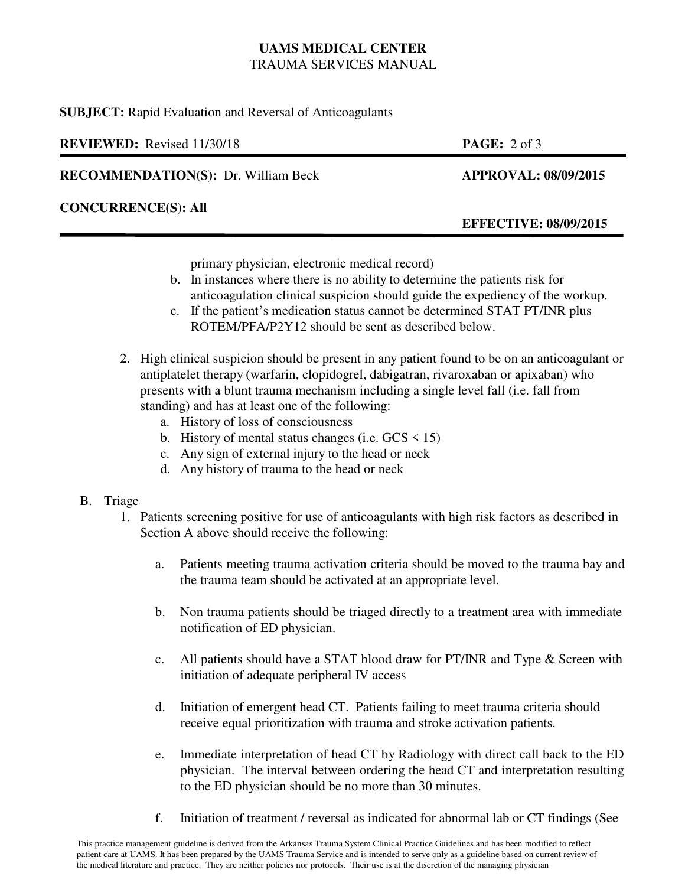### **UAMS MEDICAL CENTER** TRAUMA SERVICES MANUAL

**SUBJECT:** Rapid Evaluation and Reversal of Anticoagulants

| <b>REVIEWED:</b> Revised 11/30/18          | <b>PAGE:</b> $2 \text{ of } 3$ |
|--------------------------------------------|--------------------------------|
| <b>RECOMMENDATION(S): Dr. William Beck</b> | <b>APPROVAL: 08/09/2015</b>    |
| <b>CONCURRENCE(S): All</b>                 | <b>EFFECTIVE: 08/09/2015</b>   |

primary physician, electronic medical record)

- b. In instances where there is no ability to determine the patients risk for anticoagulation clinical suspicion should guide the expediency of the workup.
- c. If the patient's medication status cannot be determined STAT PT/INR plus ROTEM/PFA/P2Y12 should be sent as described below.
- 2. High clinical suspicion should be present in any patient found to be on an anticoagulant or antiplatelet therapy (warfarin, clopidogrel, dabigatran, rivaroxaban or apixaban) who presents with a blunt trauma mechanism including a single level fall (i.e. fall from standing) and has at least one of the following:
	- a. History of loss of consciousness
	- b. History of mental status changes (i.e.  $GCS \le 15$ )
	- c. Any sign of external injury to the head or neck
	- d. Any history of trauma to the head or neck

# B. Triage

- 1. Patients screening positive for use of anticoagulants with high risk factors as described in Section A above should receive the following:
	- a. Patients meeting trauma activation criteria should be moved to the trauma bay and the trauma team should be activated at an appropriate level.
	- b. Non trauma patients should be triaged directly to a treatment area with immediate notification of ED physician.
	- c. All patients should have a STAT blood draw for PT/INR and Type & Screen with initiation of adequate peripheral IV access
	- d. Initiation of emergent head CT. Patients failing to meet trauma criteria should receive equal prioritization with trauma and stroke activation patients.
	- e. Immediate interpretation of head CT by Radiology with direct call back to the ED physician. The interval between ordering the head CT and interpretation resulting to the ED physician should be no more than 30 minutes.
	- f. Initiation of treatment / reversal as indicated for abnormal lab or CT findings (See